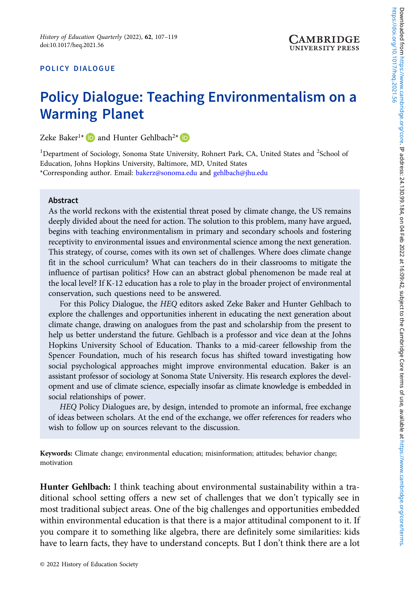### POLICY DIALOGUE

# Policy Dialogue: Teaching Environmentalism on a Warming Planet

Zeke Baker<sup>1\*</sup> **and Hunter Gehlbach**<sup>2\*</sup> **D** 

<sup>1</sup>Department of Sociology, Sonoma State University, Rohnert Park, CA, United States and <sup>2</sup>School of Education, Johns Hopkins University, Baltimore, MD, United States \*Corresponding author. Email: [bakerz@sonoma.edu](mailto:bakerz@sonoma.edu) and [gehlbach@jhu.edu](mailto:gehlbach@jhu.edu)

#### Abstract

As the world reckons with the existential threat posed by climate change, the US remains deeply divided about the need for action. The solution to this problem, many have argued, begins with teaching environmentalism in primary and secondary schools and fostering receptivity to environmental issues and environmental science among the next generation. This strategy, of course, comes with its own set of challenges. Where does climate change fit in the school curriculum? What can teachers do in their classrooms to mitigate the influence of partisan politics? How can an abstract global phenomenon be made real at the local level? If K-12 education has a role to play in the broader project of environmental conservation, such questions need to be answered.

For this Policy Dialogue, the HEQ editors asked Zeke Baker and Hunter Gehlbach to explore the challenges and opportunities inherent in educating the next generation about climate change, drawing on analogues from the past and scholarship from the present to help us better understand the future. Gehlbach is a professor and vice dean at the Johns Hopkins University School of Education. Thanks to a mid-career fellowship from the Spencer Foundation, much of his research focus has shifted toward investigating how social psychological approaches might improve environmental education. Baker is an assistant professor of sociology at Sonoma State University. His research explores the development and use of climate science, especially insofar as climate knowledge is embedded in social relationships of power.

HEQ Policy Dialogues are, by design, intended to promote an informal, free exchange of ideas between scholars. At the end of the exchange, we offer references for readers who wish to follow up on sources relevant to the discussion.

Keywords: Climate change; environmental education; misinformation; attitudes; behavior change; motivation

Hunter Gehlbach: I think teaching about environmental sustainability within a traditional school setting offers a new set of challenges that we don't typically see in most traditional subject areas. One of the big challenges and opportunities embedded within environmental education is that there is a major attitudinal component to it. If you compare it to something like algebra, there are definitely some similarities: kids have to learn facts, they have to understand concepts. But I don't think there are a lot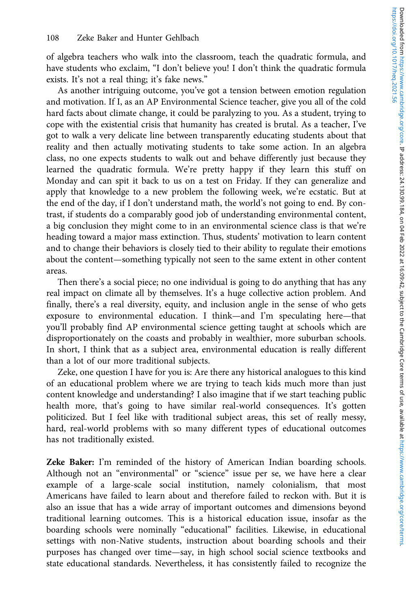of algebra teachers who walk into the classroom, teach the quadratic formula, and have students who exclaim, "I don't believe you! I don't think the quadratic formula exists. It's not a real thing; it's fake news."

As another intriguing outcome, you've got a tension between emotion regulation and motivation. If I, as an AP Environmental Science teacher, give you all of the cold hard facts about climate change, it could be paralyzing to you. As a student, trying to cope with the existential crisis that humanity has created is brutal. As a teacher, I've got to walk a very delicate line between transparently educating students about that reality and then actually motivating students to take some action. In an algebra class, no one expects students to walk out and behave differently just because they learned the quadratic formula. We're pretty happy if they learn this stuff on Monday and can spit it back to us on a test on Friday. If they can generalize and apply that knowledge to a new problem the following week, we're ecstatic. But at the end of the day, if I don't understand math, the world's not going to end. By contrast, if students do a comparably good job of understanding environmental content, a big conclusion they might come to in an environmental science class is that we're heading toward a major mass extinction. Thus, students' motivation to learn content and to change their behaviors is closely tied to their ability to regulate their emotions about the content—something typically not seen to the same extent in other content areas.

Then there's a social piece; no one individual is going to do anything that has any real impact on climate all by themselves. It's a huge collective action problem. And finally, there's a real diversity, equity, and inclusion angle in the sense of who gets exposure to environmental education. I think—and I'm speculating here—that you'll probably find AP environmental science getting taught at schools which are disproportionately on the coasts and probably in wealthier, more suburban schools. In short, I think that as a subject area, environmental education is really different than a lot of our more traditional subjects.

Zeke, one question I have for you is: Are there any historical analogues to this kind of an educational problem where we are trying to teach kids much more than just content knowledge and understanding? I also imagine that if we start teaching public health more, that's going to have similar real-world consequences. It's gotten politicized. But I feel like with traditional subject areas, this set of really messy, hard, real-world problems with so many different types of educational outcomes has not traditionally existed.

Zeke Baker: I'm reminded of the history of American Indian boarding schools. Although not an "environmental" or "science" issue per se, we have here a clear example of a large-scale social institution, namely colonialism, that most Americans have failed to learn about and therefore failed to reckon with. But it is also an issue that has a wide array of important outcomes and dimensions beyond traditional learning outcomes. This is a historical education issue, insofar as the boarding schools were nominally "educational" facilities. Likewise, in educational settings with non-Native students, instruction about boarding schools and their purposes has changed over time—say, in high school social science textbooks and state educational standards. Nevertheless, it has consistently failed to recognize the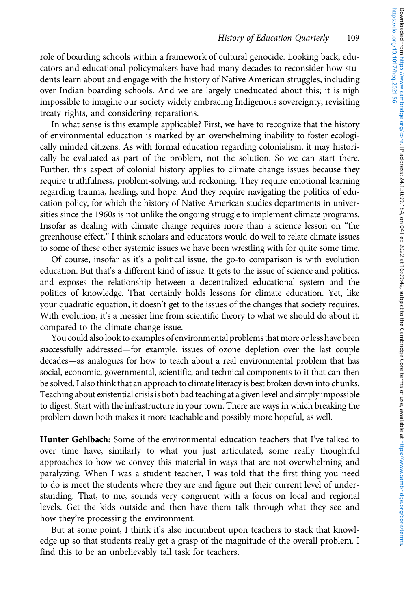role of boarding schools within a framework of cultural genocide. Looking back, educators and educational policymakers have had many decades to reconsider how students learn about and engage with the history of Native American struggles, including over Indian boarding schools. And we are largely uneducated about this; it is nigh impossible to imagine our society widely embracing Indigenous sovereignty, revisiting treaty rights, and considering reparations.

In what sense is this example applicable? First, we have to recognize that the history of environmental education is marked by an overwhelming inability to foster ecologically minded citizens. As with formal education regarding colonialism, it may historically be evaluated as part of the problem, not the solution. So we can start there. Further, this aspect of colonial history applies to climate change issues because they require truthfulness, problem-solving, and reckoning. They require emotional learning regarding trauma, healing, and hope. And they require navigating the politics of education policy, for which the history of Native American studies departments in universities since the 1960s is not unlike the ongoing struggle to implement climate programs. Insofar as dealing with climate change requires more than a science lesson on "the greenhouse effect," I think scholars and educators would do well to relate climate issues to some of these other systemic issues we have been wrestling with for quite some time.

Of course, insofar as it's a political issue, the go-to comparison is with evolution education. But that's a different kind of issue. It gets to the issue of science and politics, and exposes the relationship between a decentralized educational system and the politics of knowledge. That certainly holds lessons for climate education. Yet, like your quadratic equation, it doesn't get to the issues of the changes that society requires. With evolution, it's a messier line from scientific theory to what we should do about it, compared to the climate change issue.

You could also look to examples of environmental problems that more or less have been successfully addressed—for example, issues of ozone depletion over the last couple decades—as analogues for how to teach about a real environmental problem that has social, economic, governmental, scientific, and technical components to it that can then be solved. I also think that an approach to climate literacy is best broken down into chunks. Teaching about existential crisis is both bad teaching at a given level and simply impossible to digest. Start with the infrastructure in your town. There are ways in which breaking the problem down both makes it more teachable and possibly more hopeful, as well.

Hunter Gehlbach: Some of the environmental education teachers that I've talked to over time have, similarly to what you just articulated, some really thoughtful approaches to how we convey this material in ways that are not overwhelming and paralyzing. When I was a student teacher, I was told that the first thing you need to do is meet the students where they are and figure out their current level of understanding. That, to me, sounds very congruent with a focus on local and regional levels. Get the kids outside and then have them talk through what they see and how they're processing the environment.

But at some point, I think it's also incumbent upon teachers to stack that knowledge up so that students really get a grasp of the magnitude of the overall problem. I find this to be an unbelievably tall task for teachers.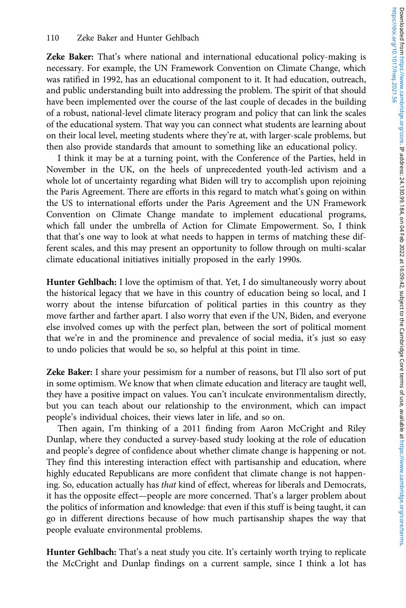Zeke Baker: That's where national and international educational policy-making is necessary. For example, the UN Framework Convention on Climate Change, which was ratified in 1992, has an educational component to it. It had education, outreach, and public understanding built into addressing the problem. The spirit of that should have been implemented over the course of the last couple of decades in the building of a robust, national-level climate literacy program and policy that can link the scales of the educational system. That way you can connect what students are learning about on their local level, meeting students where they're at, with larger-scale problems, but then also provide standards that amount to something like an educational policy.

I think it may be at a turning point, with the Conference of the Parties, held in November in the UK, on the heels of unprecedented youth-led activism and a whole lot of uncertainty regarding what Biden will try to accomplish upon rejoining the Paris Agreement. There are efforts in this regard to match what's going on within the US to international efforts under the Paris Agreement and the UN Framework Convention on Climate Change mandate to implement educational programs, which fall under the umbrella of Action for Climate Empowerment. So, I think that that's one way to look at what needs to happen in terms of matching these different scales, and this may present an opportunity to follow through on multi-scalar climate educational initiatives initially proposed in the early 1990s.

Hunter Gehlbach: I love the optimism of that. Yet, I do simultaneously worry about the historical legacy that we have in this country of education being so local, and I worry about the intense bifurcation of political parties in this country as they move farther and farther apart. I also worry that even if the UN, Biden, and everyone else involved comes up with the perfect plan, between the sort of political moment that we're in and the prominence and prevalence of social media, it's just so easy to undo policies that would be so, so helpful at this point in time.

Zeke Baker: I share your pessimism for a number of reasons, but I'll also sort of put in some optimism. We know that when climate education and literacy are taught well, they have a positive impact on values. You can't inculcate environmentalism directly, but you can teach about our relationship to the environment, which can impact people's individual choices, their views later in life, and so on.

Then again, I'm thinking of a 2011 finding from Aaron McCright and Riley Dunlap, where they conducted a survey-based study looking at the role of education and people's degree of confidence about whether climate change is happening or not. They find this interesting interaction effect with partisanship and education, where highly educated Republicans are more confident that climate change is not happening. So, education actually has that kind of effect, whereas for liberals and Democrats, it has the opposite effect—people are more concerned. That's a larger problem about the politics of information and knowledge: that even if this stuff is being taught, it can go in different directions because of how much partisanship shapes the way that people evaluate environmental problems.

Hunter Gehlbach: That's a neat study you cite. It's certainly worth trying to replicate the McCright and Dunlap findings on a current sample, since I think a lot has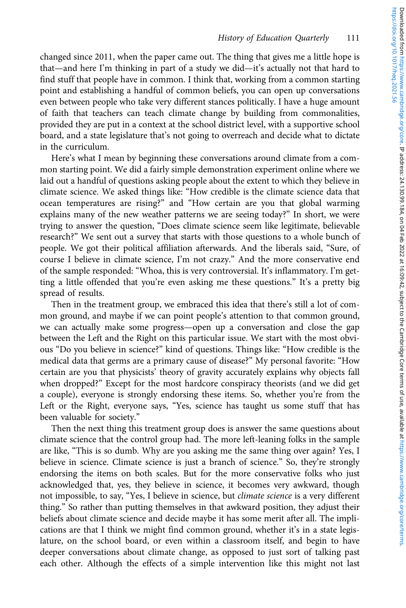changed since 2011, when the paper came out. The thing that gives me a little hope is that—and here I'm thinking in part of a study we did—it's actually not that hard to find stuff that people have in common. I think that, working from a common starting point and establishing a handful of common beliefs, you can open up conversations even between people who take very different stances politically. I have a huge amount of faith that teachers can teach climate change by building from commonalities, provided they are put in a context at the school district level, with a supportive school board, and a state legislature that's not going to overreach and decide what to dictate in the curriculum.

Here's what I mean by beginning these conversations around climate from a common starting point. We did a fairly simple demonstration experiment online where we laid out a handful of questions asking people about the extent to which they believe in climate science. We asked things like: "How credible is the climate science data that ocean temperatures are rising?" and "How certain are you that global warming explains many of the new weather patterns we are seeing today?" In short, we were trying to answer the question, "Does climate science seem like legitimate, believable research?" We sent out a survey that starts with those questions to a whole bunch of people. We got their political affiliation afterwards. And the liberals said, "Sure, of course I believe in climate science, I'm not crazy." And the more conservative end of the sample responded: "Whoa, this is very controversial. It's inflammatory. I'm getting a little offended that you're even asking me these questions." It's a pretty big spread of results.

Then in the treatment group, we embraced this idea that there's still a lot of common ground, and maybe if we can point people's attention to that common ground, we can actually make some progress—open up a conversation and close the gap between the Left and the Right on this particular issue. We start with the most obvious "Do you believe in science?" kind of questions. Things like: "How credible is the medical data that germs are a primary cause of disease?" My personal favorite: "How certain are you that physicists' theory of gravity accurately explains why objects fall when dropped?" Except for the most hardcore conspiracy theorists (and we did get a couple), everyone is strongly endorsing these items. So, whether you're from the Left or the Right, everyone says, "Yes, science has taught us some stuff that has been valuable for society."

Then the next thing this treatment group does is answer the same questions about climate science that the control group had. The more left-leaning folks in the sample are like, "This is so dumb. Why are you asking me the same thing over again? Yes, I believe in science. Climate science is just a branch of science." So, they're strongly endorsing the items on both scales. But for the more conservative folks who just acknowledged that, yes, they believe in science, it becomes very awkward, though not impossible, to say, "Yes, I believe in science, but climate science is a very different thing." So rather than putting themselves in that awkward position, they adjust their beliefs about climate science and decide maybe it has some merit after all. The implications are that I think we might find common ground, whether it's in a state legislature, on the school board, or even within a classroom itself, and begin to have deeper conversations about climate change, as opposed to just sort of talking past each other. Although the effects of a simple intervention like this might not last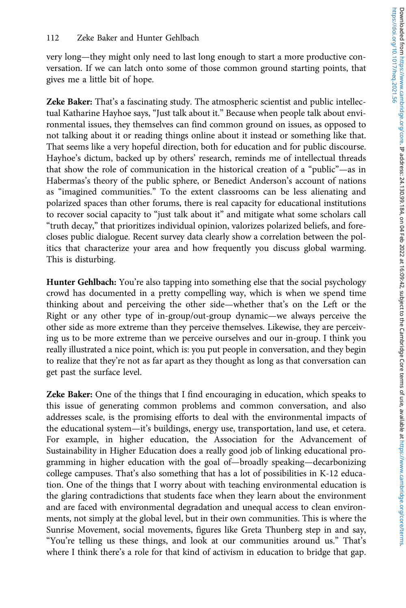very long—they might only need to last long enough to start a more productive conversation. If we can latch onto some of those common ground starting points, that gives me a little bit of hope.

Zeke Baker: That's a fascinating study. The atmospheric scientist and public intellectual Katharine Hayhoe says, "Just talk about it." Because when people talk about environmental issues, they themselves can find common ground on issues, as opposed to not talking about it or reading things online about it instead or something like that. That seems like a very hopeful direction, both for education and for public discourse. Hayhoe's dictum, backed up by others' research, reminds me of intellectual threads that show the role of communication in the historical creation of a "public"—as in Habermas's theory of the public sphere, or Benedict Anderson's account of nations as "imagined communities." To the extent classrooms can be less alienating and polarized spaces than other forums, there is real capacity for educational institutions to recover social capacity to "just talk about it" and mitigate what some scholars call "truth decay," that prioritizes individual opinion, valorizes polarized beliefs, and forecloses public dialogue. Recent survey data clearly show a correlation between the politics that characterize your area and how frequently you discuss global warming. This is disturbing.

Hunter Gehlbach: You're also tapping into something else that the social psychology crowd has documented in a pretty compelling way, which is when we spend time thinking about and perceiving the other side—whether that's on the Left or the Right or any other type of in-group/out-group dynamic—we always perceive the other side as more extreme than they perceive themselves. Likewise, they are perceiving us to be more extreme than we perceive ourselves and our in-group. I think you really illustrated a nice point, which is: you put people in conversation, and they begin to realize that they're not as far apart as they thought as long as that conversation can get past the surface level.

Zeke Baker: One of the things that I find encouraging in education, which speaks to this issue of generating common problems and common conversation, and also addresses scale, is the promising efforts to deal with the environmental impacts of the educational system—it's buildings, energy use, transportation, land use, et cetera. For example, in higher education, the Association for the Advancement of Sustainability in Higher Education does a really good job of linking educational programming in higher education with the goal of—broadly speaking—decarbonizing college campuses. That's also something that has a lot of possibilities in K-12 education. One of the things that I worry about with teaching environmental education is the glaring contradictions that students face when they learn about the environment and are faced with environmental degradation and unequal access to clean environments, not simply at the global level, but in their own communities. This is where the Sunrise Movement, social movements, figures like Greta Thunberg step in and say, "You're telling us these things, and look at our communities around us." That's where I think there's a role for that kind of activism in education to bridge that gap.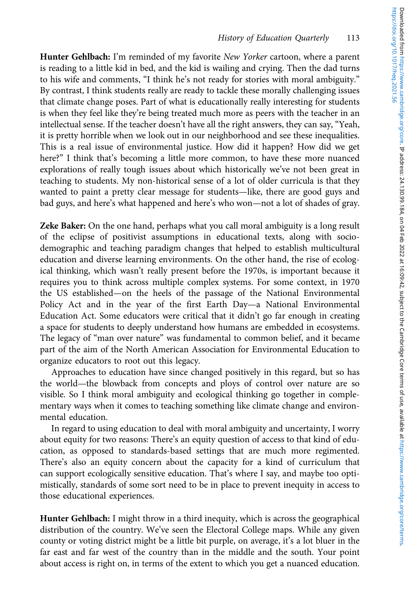Hunter Gehlbach: I'm reminded of my favorite New Yorker cartoon, where a parent is reading to a little kid in bed, and the kid is wailing and crying. Then the dad turns to his wife and comments, "I think he's not ready for stories with moral ambiguity." By contrast, I think students really are ready to tackle these morally challenging issues that climate change poses. Part of what is educationally really interesting for students is when they feel like they're being treated much more as peers with the teacher in an intellectual sense. If the teacher doesn't have all the right answers, they can say, "Yeah, it is pretty horrible when we look out in our neighborhood and see these inequalities. This is a real issue of environmental justice. How did it happen? How did we get here?" I think that's becoming a little more common, to have these more nuanced explorations of really tough issues about which historically we've not been great in teaching to students. My non-historical sense of a lot of older curricula is that they wanted to paint a pretty clear message for students—like, there are good guys and bad guys, and here's what happened and here's who won—not a lot of shades of gray.

Zeke Baker: On the one hand, perhaps what you call moral ambiguity is a long result of the eclipse of positivist assumptions in educational texts, along with sociodemographic and teaching paradigm changes that helped to establish multicultural education and diverse learning environments. On the other hand, the rise of ecological thinking, which wasn't really present before the 1970s, is important because it requires you to think across multiple complex systems. For some context, in 1970 the US established—on the heels of the passage of the National Environmental Policy Act and in the year of the first Earth Day—a National Environmental Education Act. Some educators were critical that it didn't go far enough in creating a space for students to deeply understand how humans are embedded in ecosystems. The legacy of "man over nature" was fundamental to common belief, and it became part of the aim of the North American Association for Environmental Education to organize educators to root out this legacy.

Approaches to education have since changed positively in this regard, but so has the world—the blowback from concepts and ploys of control over nature are so visible. So I think moral ambiguity and ecological thinking go together in complementary ways when it comes to teaching something like climate change and environmental education.

In regard to using education to deal with moral ambiguity and uncertainty, I worry about equity for two reasons: There's an equity question of access to that kind of education, as opposed to standards-based settings that are much more regimented. There's also an equity concern about the capacity for a kind of curriculum that can support ecologically sensitive education. That's where I say, and maybe too optimistically, standards of some sort need to be in place to prevent inequity in access to those educational experiences.

Hunter Gehlbach: I might throw in a third inequity, which is across the geographical distribution of the country. We've seen the Electoral College maps. While any given county or voting district might be a little bit purple, on average, it's a lot bluer in the far east and far west of the country than in the middle and the south. Your point about access is right on, in terms of the extent to which you get a nuanced education.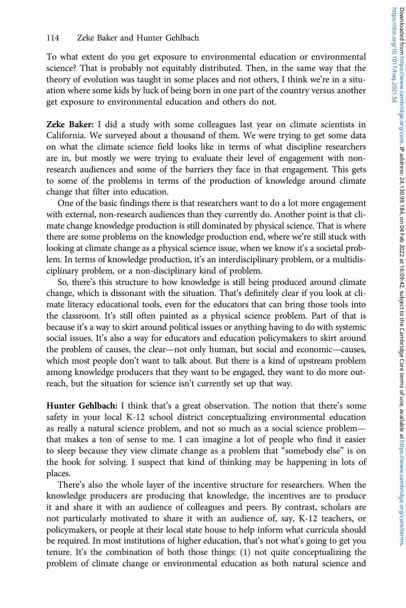To what extent do you get exposure to environmental education or environmental science? That is probably not equitably distributed. Then, in the same way that the theory of evolution was taught in some places and not others, I think we're in a situation where some kids by luck of being born in one part of the country versus another get exposure to environmental education and others do not.

Zeke Baker: I did a study with some colleagues last year on climate scientists in California. We surveyed about a thousand of them. We were trying to get some data on what the climate science field looks like in terms of what discipline researchers are in, but mostly we were trying to evaluate their level of engagement with nonresearch audiences and some of the barriers they face in that engagement. This gets to some of the problems in terms of the production of knowledge around climate change that filter into education.

One of the basic findings there is that researchers want to do a lot more engagement with external, non-research audiences than they currently do. Another point is that climate change knowledge production is still dominated by physical science. That is where there are some problems on the knowledge production end, where we're still stuck with looking at climate change as a physical science issue, when we know it's a societal problem. In terms of knowledge production, it's an interdisciplinary problem, or a multidisciplinary problem, or a non-disciplinary kind of problem.

So, there's this structure to how knowledge is still being produced around climate change, which is dissonant with the situation. That's definitely clear if you look at climate literacy educational tools, even for the educators that can bring those tools into the classroom. It's still often painted as a physical science problem. Part of that is because it's a way to skirt around political issues or anything having to do with systemic social issues. It's also a way for educators and education policymakers to skirt around the problem of causes, the clear—not only human, but social and economic—causes, which most people don't want to talk about. But there is a kind of upstream problem among knowledge producers that they want to be engaged, they want to do more outreach, but the situation for science isn't currently set up that way.

Hunter Gehlbach: I think that's a great observation. The notion that there's some safety in your local K-12 school district conceptualizing environmental education as really a natural science problem, and not so much as a social science problem that makes a ton of sense to me. I can imagine a lot of people who find it easier to sleep because they view climate change as a problem that "somebody else" is on the hook for solving. I suspect that kind of thinking may be happening in lots of places.

There's also the whole layer of the incentive structure for researchers. When the knowledge producers are producing that knowledge, the incentives are to produce it and share it with an audience of colleagues and peers. By contrast, scholars are not particularly motivated to share it with an audience of, say, K-12 teachers, or policymakers, or people at their local state house to help inform what curricula should be required. In most institutions of higher education, that's not what's going to get you tenure. It's the combination of both those things: (1) not quite conceptualizing the problem of climate change or environmental education as both natural science and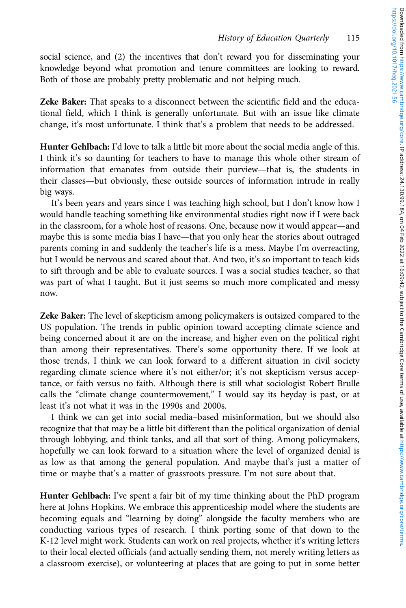social science, and (2) the incentives that don't reward you for disseminating your knowledge beyond what promotion and tenure committees are looking to reward. Both of those are probably pretty problematic and not helping much.

Zeke Baker: That speaks to a disconnect between the scientific field and the educational field, which I think is generally unfortunate. But with an issue like climate change, it's most unfortunate. I think that's a problem that needs to be addressed.

Hunter Gehlbach: I'd love to talk a little bit more about the social media angle of this. I think it's so daunting for teachers to have to manage this whole other stream of information that emanates from outside their purview—that is, the students in their classes—but obviously, these outside sources of information intrude in really big ways.

It's been years and years since I was teaching high school, but I don't know how I would handle teaching something like environmental studies right now if I were back in the classroom, for a whole host of reasons. One, because now it would appear—and maybe this is some media bias I have—that you only hear the stories about outraged parents coming in and suddenly the teacher's life is a mess. Maybe I'm overreacting, but I would be nervous and scared about that. And two, it's so important to teach kids to sift through and be able to evaluate sources. I was a social studies teacher, so that was part of what I taught. But it just seems so much more complicated and messy now.

Zeke Baker: The level of skepticism among policymakers is outsized compared to the US population. The trends in public opinion toward accepting climate science and being concerned about it are on the increase, and higher even on the political right than among their representatives. There's some opportunity there. If we look at those trends, I think we can look forward to a different situation in civil society regarding climate science where it's not either/or; it's not skepticism versus acceptance, or faith versus no faith. Although there is still what sociologist Robert Brulle calls the "climate change countermovement," I would say its heyday is past, or at least it's not what it was in the 1990s and 2000s.

I think we can get into social media–based misinformation, but we should also recognize that that may be a little bit different than the political organization of denial through lobbying, and think tanks, and all that sort of thing. Among policymakers, hopefully we can look forward to a situation where the level of organized denial is as low as that among the general population. And maybe that's just a matter of time or maybe that's a matter of grassroots pressure. I'm not sure about that.

Hunter Gehlbach: I've spent a fair bit of my time thinking about the PhD program here at Johns Hopkins. We embrace this apprenticeship model where the students are becoming equals and "learning by doing" alongside the faculty members who are conducting various types of research. I think porting some of that down to the K-12 level might work. Students can work on real projects, whether it's writing letters to their local elected officials (and actually sending them, not merely writing letters as a classroom exercise), or volunteering at places that are going to put in some better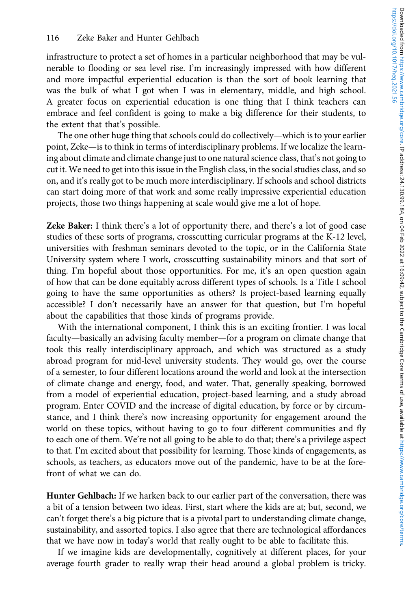infrastructure to protect a set of homes in a particular neighborhood that may be vulnerable to flooding or sea level rise. I'm increasingly impressed with how different and more impactful experiential education is than the sort of book learning that was the bulk of what I got when I was in elementary, middle, and high school. A greater focus on experiential education is one thing that I think teachers can embrace and feel confident is going to make a big difference for their students, to the extent that that's possible.

The one other huge thing that schools could do collectively—which is to your earlier point, Zeke—is to think in terms of interdisciplinary problems. If we localize the learning about climate and climate change just to one natural science class, that's not going to cut it. We need to get into this issue in the English class, in the social studies class, and so on, and it's really got to be much more interdisciplinary. If schools and school districts can start doing more of that work and some really impressive experiential education projects, those two things happening at scale would give me a lot of hope.

Zeke Baker: I think there's a lot of opportunity there, and there's a lot of good case studies of these sorts of programs, crosscutting curricular programs at the K-12 level, universities with freshman seminars devoted to the topic, or in the California State University system where I work, crosscutting sustainability minors and that sort of thing. I'm hopeful about those opportunities. For me, it's an open question again of how that can be done equitably across different types of schools. Is a Title I school going to have the same opportunities as others? Is project-based learning equally accessible? I don't necessarily have an answer for that question, but I'm hopeful about the capabilities that those kinds of programs provide.

With the international component, I think this is an exciting frontier. I was local faculty—basically an advising faculty member—for a program on climate change that took this really interdisciplinary approach, and which was structured as a study abroad program for mid-level university students. They would go, over the course of a semester, to four different locations around the world and look at the intersection of climate change and energy, food, and water. That, generally speaking, borrowed from a model of experiential education, project-based learning, and a study abroad program. Enter COVID and the increase of digital education, by force or by circumstance, and I think there's now increasing opportunity for engagement around the world on these topics, without having to go to four different communities and fly to each one of them. We're not all going to be able to do that; there's a privilege aspect to that. I'm excited about that possibility for learning. Those kinds of engagements, as schools, as teachers, as educators move out of the pandemic, have to be at the forefront of what we can do.

Hunter Gehlbach: If we harken back to our earlier part of the conversation, there was a bit of a tension between two ideas. First, start where the kids are at; but, second, we can't forget there's a big picture that is a pivotal part to understanding climate change, sustainability, and assorted topics. I also agree that there are technological affordances that we have now in today's world that really ought to be able to facilitate this.

If we imagine kids are developmentally, cognitively at different places, for your average fourth grader to really wrap their head around a global problem is tricky.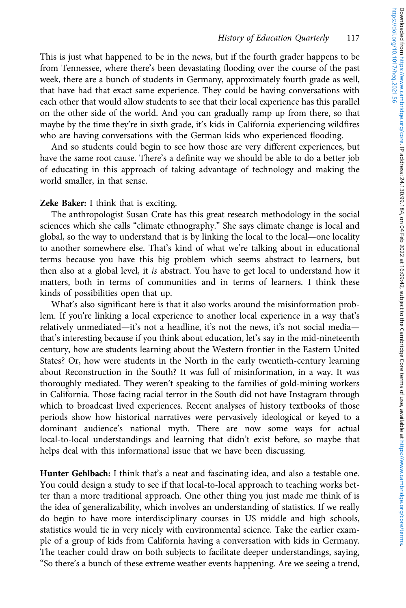This is just what happened to be in the news, but if the fourth grader happens to be from Tennessee, where there's been devastating flooding over the course of the past week, there are a bunch of students in Germany, approximately fourth grade as well, that have had that exact same experience. They could be having conversations with each other that would allow students to see that their local experience has this parallel on the other side of the world. And you can gradually ramp up from there, so that maybe by the time they're in sixth grade, it's kids in California experiencing wildfires who are having conversations with the German kids who experienced flooding.

And so students could begin to see how those are very different experiences, but have the same root cause. There's a definite way we should be able to do a better job of educating in this approach of taking advantage of technology and making the world smaller, in that sense.

## Zeke Baker: I think that is exciting.

The anthropologist Susan Crate has this great research methodology in the social sciences which she calls "climate ethnography." She says climate change is local and global, so the way to understand that is by linking the local to the local—one locality to another somewhere else. That's kind of what we're talking about in educational terms because you have this big problem which seems abstract to learners, but then also at a global level, it is abstract. You have to get local to understand how it matters, both in terms of communities and in terms of learners. I think these kinds of possibilities open that up.

What's also significant here is that it also works around the misinformation problem. If you're linking a local experience to another local experience in a way that's relatively unmediated—it's not a headline, it's not the news, it's not social media that's interesting because if you think about education, let's say in the mid-nineteenth century, how are students learning about the Western frontier in the Eastern United States? Or, how were students in the North in the early twentieth-century learning about Reconstruction in the South? It was full of misinformation, in a way. It was thoroughly mediated. They weren't speaking to the families of gold-mining workers in California. Those facing racial terror in the South did not have Instagram through which to broadcast lived experiences. Recent analyses of history textbooks of those periods show how historical narratives were pervasively ideological or keyed to a dominant audience's national myth. There are now some ways for actual local-to-local understandings and learning that didn't exist before, so maybe that helps deal with this informational issue that we have been discussing.

Hunter Gehlbach: I think that's a neat and fascinating idea, and also a testable one. You could design a study to see if that local-to-local approach to teaching works better than a more traditional approach. One other thing you just made me think of is the idea of generalizability, which involves an understanding of statistics. If we really do begin to have more interdisciplinary courses in US middle and high schools, statistics would tie in very nicely with environmental science. Take the earlier example of a group of kids from California having a conversation with kids in Germany. The teacher could draw on both subjects to facilitate deeper understandings, saying, "So there's a bunch of these extreme weather events happening. Are we seeing a trend,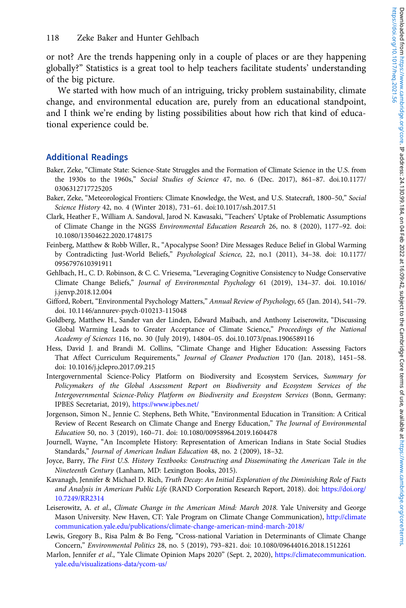or not? Are the trends happening only in a couple of places or are they happening globally?" Statistics is a great tool to help teachers facilitate students' understanding of the big picture.

We started with how much of an intriguing, tricky problem sustainability, climate change, and environmental education are, purely from an educational standpoint, and I think we're ending by listing possibilities about how rich that kind of educational experience could be.

## Additional Readings

- Baker, Zeke, "Climate State: Science-State Struggles and the Formation of Climate Science in the U.S. from the 1930s to the 1960s," Social Studies of Science 47, no. 6 (Dec. 2017), 861–87. doi.10.1177/ 0306312717725205
- Baker, Zeke, "Meteorological Frontiers: Climate Knowledge, the West, and U.S. Statecraft, 1800–50," Social Science History 42, no. 4 (Winter 2018), 731–61. doi:10.1017/ssh.2017.51
- Clark, Heather F., William A. Sandoval, Jarod N. Kawasaki, "Teachers' Uptake of Problematic Assumptions of Climate Change in the NGSS Environmental Education Research 26, no. 8 (2020), 1177–92. doi: 10.1080/13504622.2020.1748175
- Feinberg, Matthew & Robb Willer, R., "Apocalypse Soon? Dire Messages Reduce Belief in Global Warming by Contradicting Just-World Beliefs," Psychological Science, 22, no.1 (2011), 34–38. doi: 10.1177/ 0956797610391911
- Gehlbach, H., C. D. Robinson, & C. C. Vriesema, "Leveraging Cognitive Consistency to Nudge Conservative Climate Change Beliefs," Journal of Environmental Psychology 61 (2019), 134–37. doi. 10.1016/ j.jenvp.2018.12.004
- Gifford, Robert, "Environmental Psychology Matters," Annual Review of Psychology, 65 (Jan. 2014), 541–79. doi. 10.1146/annurev-psych-010213-115048
- Goldberg, Matthew H., Sander van der Linden, Edward Maibach, and Anthony Leiserowitz, "Discussing Global Warming Leads to Greater Acceptance of Climate Science," Proceedings of the National Academy of Sciences 116, no. 30 (July 2019), 14804–05. doi.10.1073/pnas.1906589116
- Hess, David J. and Brandi M. Collins, "Climate Change and Higher Education: Assessing Factors That Affect Curriculum Requirements," Journal of Cleaner Production 170 (Jan. 2018), 1451–58. doi: 10.1016/j.jclepro.2017.09.215
- Intergovernmental Science-Policy Platform on Biodiversity and Ecosystem Services, Summary for Policymakers of the Global Assessment Report on Biodiversity and Ecosystem Services of the Intergovernmental Science-Policy Platform on Biodiversity and Ecosystem Services (Bonn, Germany: IPBES Secretariat, 2019), <https://www.ipbes.net/>
- Jorgenson, Simon N., Jennie C. Stephens, Beth White, "Environmental Education in Transition: A Critical Review of Recent Research on Climate Change and Energy Education," The Journal of Environmental Education 50, no. 3 (2019), 160–71. doi: 10.1080/00958964.2019.1604478
- Journell, Wayne, "An Incomplete History: Representation of American Indians in State Social Studies Standards," Journal of American Indian Education 48, no. 2 (2009), 18–32.
- Joyce, Barry, The First U.S. History Textbooks: Constructing and Disseminating the American Tale in the Nineteenth Century (Lanham, MD: Lexington Books, 2015).
- Kavanagh, Jennifer & Michael D. Rich, Truth Decay: An Initial Exploration of the Diminishing Role of Facts and Analysis in American Public Life (RAND Corporation Research Report, 2018). doi: [https://doi.org/](https://doi.org/10.7249/RR2314) [10.7249/RR2314](https://doi.org/10.7249/RR2314)
- Leiserowitz, A. et al., Climate Change in the American Mind: March 2018. Yale University and George Mason University. New Haven, CT: Yale Program on Climate Change Communication), [http://climate](http://climatecommunication.yale.edu/publications/climate-change-american-mind-march-2018/) [communication.yale.edu/publications/climate-change-american-mind-march-2018/](http://climatecommunication.yale.edu/publications/climate-change-american-mind-march-2018/)
- Lewis, Gregory B., Risa Palm & Bo Feng, "Cross-national Variation in Determinants of Climate Change Concern," Environmental Politics 28, no. 5 (2019), 793–821. doi: 10.1080/09644016.2018.1512261
- Marlon, Jennifer et al., "Yale Climate Opinion Maps 2020" (Sept. 2, 2020), [https://climatecommunication.](https://climatecommunication.yale.edu/visualizations-data/ycom-us/) [yale.edu/visualizations-data/ycom-us/](https://climatecommunication.yale.edu/visualizations-data/ycom-us/)